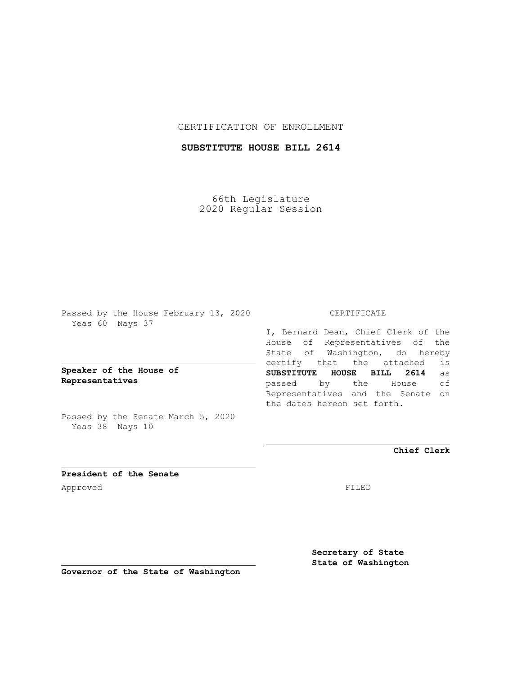## CERTIFICATION OF ENROLLMENT

# **SUBSTITUTE HOUSE BILL 2614**

66th Legislature 2020 Regular Session

Passed by the House February 13, 2020 Yeas 60 Nays 37

**Speaker of the House of Representatives**

Passed by the Senate March 5, 2020 Yeas 38 Nays 10

## CERTIFICATE

I, Bernard Dean, Chief Clerk of the House of Representatives of the State of Washington, do hereby certify that the attached is **SUBSTITUTE HOUSE BILL 2614** as passed by the House of Representatives and the Senate on the dates hereon set forth.

**Chief Clerk**

**President of the Senate** Approved FILED

**Secretary of State State of Washington**

**Governor of the State of Washington**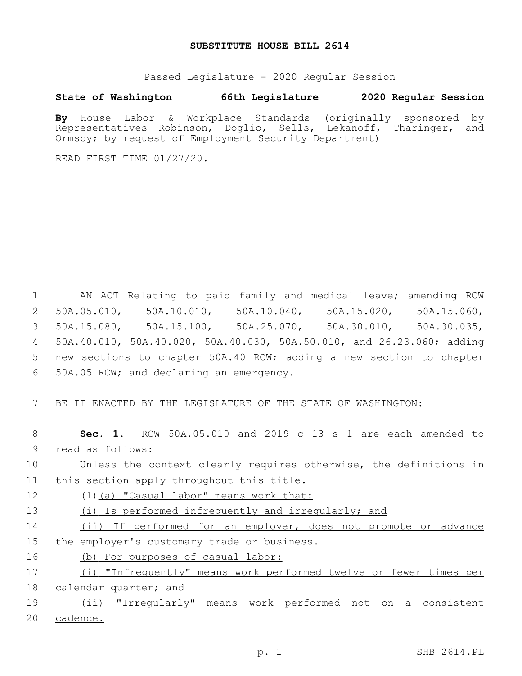### **SUBSTITUTE HOUSE BILL 2614**

Passed Legislature - 2020 Regular Session

### **State of Washington 66th Legislature 2020 Regular Session**

**By** House Labor & Workplace Standards (originally sponsored by Representatives Robinson, Doglio, Sells, Lekanoff, Tharinger, and Ormsby; by request of Employment Security Department)

READ FIRST TIME 01/27/20.

 AN ACT Relating to paid family and medical leave; amending RCW 50A.05.010, 50A.10.010, 50A.10.040, 50A.15.020, 50A.15.060, 50A.15.080, 50A.15.100, 50A.25.070, 50A.30.010, 50A.30.035, 50A.40.010, 50A.40.020, 50A.40.030, 50A.50.010, and 26.23.060; adding new sections to chapter 50A.40 RCW; adding a new section to chapter 50A.05 RCW; and declaring an emergency.6

7 BE IT ENACTED BY THE LEGISLATURE OF THE STATE OF WASHINGTON:

8 **Sec. 1.** RCW 50A.05.010 and 2019 c 13 s 1 are each amended to 9 read as follows:

10 Unless the context clearly requires otherwise, the definitions in 11 this section apply throughout this title.

12 (1)(a) "Casual labor" means work that:

13 (i) Is performed infrequently and irregularly; and

14 (ii) If performed for an employer, does not promote or advance 15 the employer's customary trade or business.

16 (b) For purposes of casual labor:

|  | (i) "Infrequently" means work performed twelve or fewer times per |  |  |  |  |
|--|-------------------------------------------------------------------|--|--|--|--|
|  | 18 calendar quarter; and                                          |  |  |  |  |

19 (ii) "Irregularly" means work performed not on a consistent 20 cadence.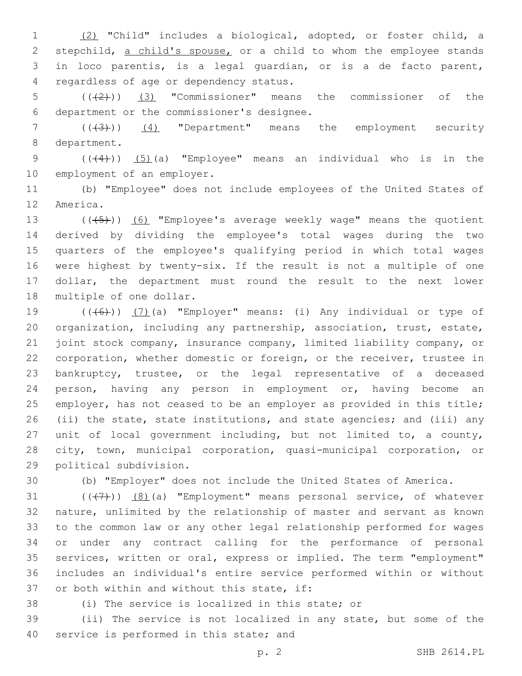(2) "Child" includes a biological, adopted, or foster child, a 2 stepchild, a child's spouse, or a child to whom the employee stands in loco parentis, is a legal guardian, or is a de facto parent, regardless of age or dependency status.4

 $((+2))$  (3) "Commissioner" means the commissioner of the 6 department or the commissioner's designee.

 (((3))) (4) "Department" means the employment security 8 department.

9  $((4)$ )  $(5)$  (a) "Employee" means an individual who is in the 10 employment of an employer.

 (b) "Employee" does not include employees of the United States of 12 America.

 $((+5+))$  (6) "Employee's average weekly wage" means the quotient derived by dividing the employee's total wages during the two quarters of the employee's qualifying period in which total wages were highest by twenty-six. If the result is not a multiple of one dollar, the department must round the result to the next lower 18 multiple of one dollar.

 $((+6+))$   $(7)$  (a) "Employer" means: (i) Any individual or type of organization, including any partnership, association, trust, estate, joint stock company, insurance company, limited liability company, or corporation, whether domestic or foreign, or the receiver, trustee in bankruptcy, trustee, or the legal representative of a deceased person, having any person in employment or, having become an employer, has not ceased to be an employer as provided in this title; (ii) the state, state institutions, and state agencies; and (iii) any unit of local government including, but not limited to, a county, city, town, municipal corporation, quasi-municipal corporation, or 29 political subdivision.

(b) "Employer" does not include the United States of America.

 $((+7+))$   $(8)$  (a) "Employment" means personal service, of whatever nature, unlimited by the relationship of master and servant as known to the common law or any other legal relationship performed for wages or under any contract calling for the performance of personal services, written or oral, express or implied. The term "employment" includes an individual's entire service performed within or without 37 or both within and without this state, if:

(i) The service is localized in this state; or

 (ii) The service is not localized in any state, but some of the 40 service is performed in this state; and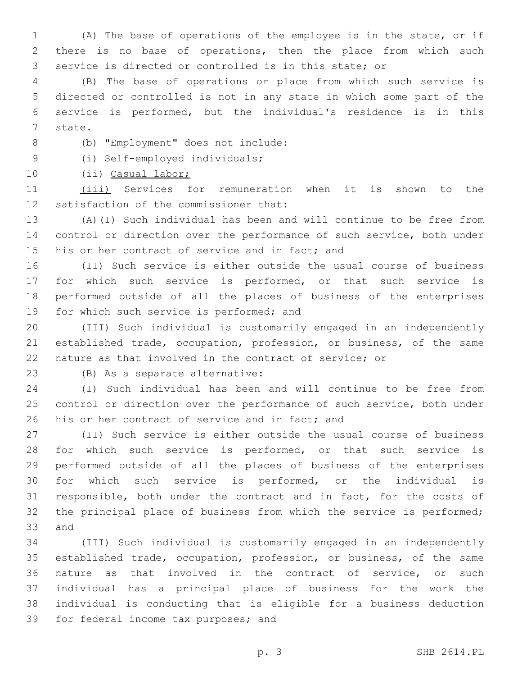(A) The base of operations of the employee is in the state, or if there is no base of operations, then the place from which such service is directed or controlled is in this state; or

 (B) The base of operations or place from which such service is directed or controlled is not in any state in which some part of the service is performed, but the individual's residence is in this 7 state.

(b) "Employment" does not include:8

(i) Self-employed individuals;9

(ii) Casual labor;

 (iii) Services for remuneration when it is shown to the 12 satisfaction of the commissioner that:

 (A)(I) Such individual has been and will continue to be free from control or direction over the performance of such service, both under 15 his or her contract of service and in fact; and

 (II) Such service is either outside the usual course of business for which such service is performed, or that such service is performed outside of all the places of business of the enterprises 19 for which such service is performed; and

 (III) Such individual is customarily engaged in an independently established trade, occupation, profession, or business, of the same nature as that involved in the contract of service; or

23 (B) As a separate alternative:

 (I) Such individual has been and will continue to be free from control or direction over the performance of such service, both under 26 his or her contract of service and in fact; and

 (II) Such service is either outside the usual course of business 28 for which such service is performed, or that such service is performed outside of all the places of business of the enterprises for which such service is performed, or the individual is responsible, both under the contract and in fact, for the costs of the principal place of business from which the service is performed; 33 and

 (III) Such individual is customarily engaged in an independently established trade, occupation, profession, or business, of the same nature as that involved in the contract of service, or such individual has a principal place of business for the work the individual is conducting that is eligible for a business deduction 39 for federal income tax purposes; and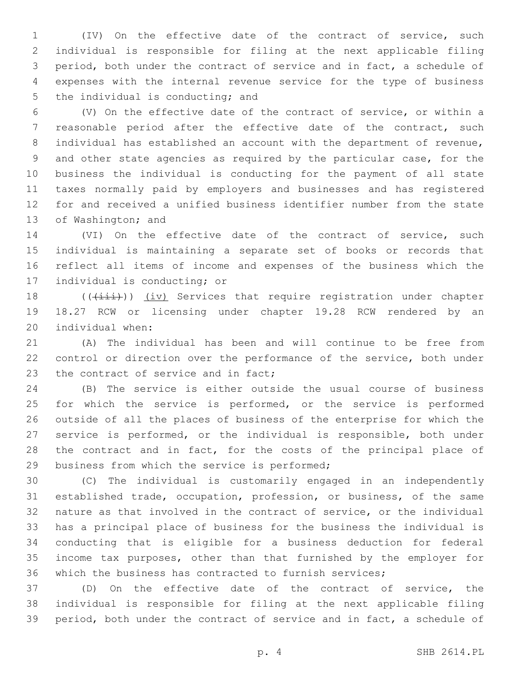(IV) On the effective date of the contract of service, such individual is responsible for filing at the next applicable filing period, both under the contract of service and in fact, a schedule of expenses with the internal revenue service for the type of business 5 the individual is conducting; and

 (V) On the effective date of the contract of service, or within a reasonable period after the effective date of the contract, such individual has established an account with the department of revenue, and other state agencies as required by the particular case, for the business the individual is conducting for the payment of all state taxes normally paid by employers and businesses and has registered for and received a unified business identifier number from the state 13 of Washington; and

 (VI) On the effective date of the contract of service, such individual is maintaining a separate set of books or records that reflect all items of income and expenses of the business which the 17 individual is conducting; or

18 ((( $(iii)$ )) (iv) Services that require registration under chapter 18.27 RCW or licensing under chapter 19.28 RCW rendered by an 20 individual when:

 (A) The individual has been and will continue to be free from control or direction over the performance of the service, both under 23 the contract of service and in fact;

 (B) The service is either outside the usual course of business 25 for which the service is performed, or the service is performed outside of all the places of business of the enterprise for which the service is performed, or the individual is responsible, both under 28 the contract and in fact, for the costs of the principal place of 29 business from which the service is performed;

 (C) The individual is customarily engaged in an independently established trade, occupation, profession, or business, of the same nature as that involved in the contract of service, or the individual has a principal place of business for the business the individual is conducting that is eligible for a business deduction for federal income tax purposes, other than that furnished by the employer for which the business has contracted to furnish services;

 (D) On the effective date of the contract of service, the individual is responsible for filing at the next applicable filing period, both under the contract of service and in fact, a schedule of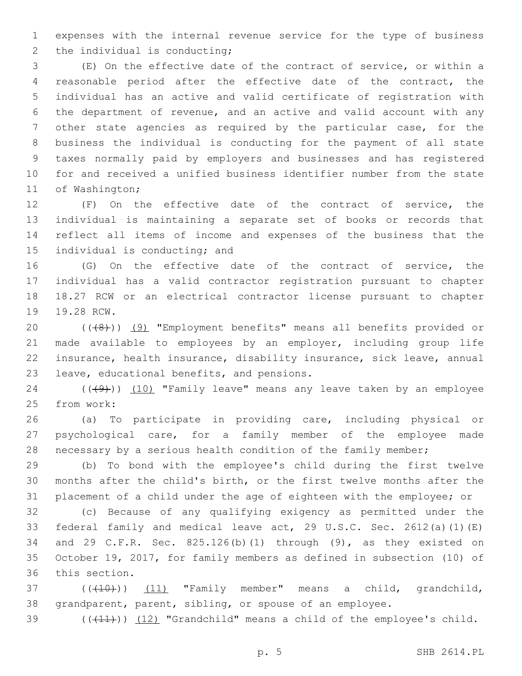expenses with the internal revenue service for the type of business 2 the individual is conducting;

 (E) On the effective date of the contract of service, or within a reasonable period after the effective date of the contract, the individual has an active and valid certificate of registration with the department of revenue, and an active and valid account with any other state agencies as required by the particular case, for the business the individual is conducting for the payment of all state taxes normally paid by employers and businesses and has registered for and received a unified business identifier number from the state 11 of Washington;

 (F) On the effective date of the contract of service, the individual is maintaining a separate set of books or records that reflect all items of income and expenses of the business that the 15 individual is conducting; and

 (G) On the effective date of the contract of service, the individual has a valid contractor registration pursuant to chapter 18.27 RCW or an electrical contractor license pursuant to chapter 19.28 RCW.

20 (((8)) (9) "Employment benefits" means all benefits provided or made available to employees by an employer, including group life insurance, health insurance, disability insurance, sick leave, annual 23 leave, educational benefits, and pensions.

 $((\langle 9 \rangle)(10)$  "Family leave" means any leave taken by an employee 25 from work:

 (a) To participate in providing care, including physical or psychological care, for a family member of the employee made 28 necessary by a serious health condition of the family member;

 (b) To bond with the employee's child during the first twelve months after the child's birth, or the first twelve months after the placement of a child under the age of eighteen with the employee; or

 (c) Because of any qualifying exigency as permitted under the federal family and medical leave act, 29 U.S.C. Sec. 2612(a)(1)(E) and 29 C.F.R. Sec. 825.126(b)(1) through (9), as they existed on October 19, 2017, for family members as defined in subsection (10) of 36 this section.

37 (((410)) (11) "Family member" means a child, grandchild, grandparent, parent, sibling, or spouse of an employee.

 $(11)$ )  $(12)$  "Grandchild" means a child of the employee's child.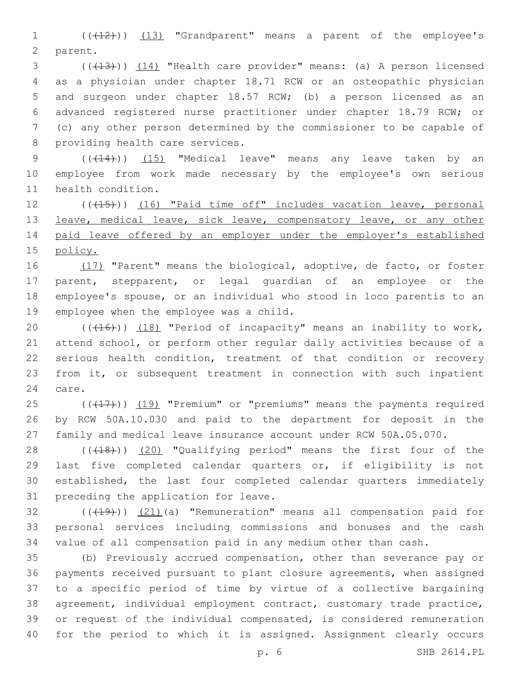1 ((+12)) (13) "Grandparent" means a parent of the employee's 2 parent.

3 (((13))) (14) "Health care provider" means: (a) A person licensed as a physician under chapter 18.71 RCW or an osteopathic physician and surgeon under chapter 18.57 RCW; (b) a person licensed as an advanced registered nurse practitioner under chapter 18.79 RCW; or (c) any other person determined by the commissioner to be capable of 8 providing health care services.

9 (( $(14)$ )) (15) "Medical leave" means any leave taken by an employee from work made necessary by the employee's own serious 11 health condition.

12 (((415))) (16) "Paid time off" includes vacation leave, personal 13 leave, medical leave, sick leave, compensatory leave, or any other paid leave offered by an employer under the employer's established policy.

16 (17) "Parent" means the biological, adoptive, de facto, or foster parent, stepparent, or legal guardian of an employee or the employee's spouse, or an individual who stood in loco parentis to an 19 employee when the employee was a child.

20 (((16))) (18) "Period of incapacity" means an inability to work, attend school, or perform other regular daily activities because of a serious health condition, treatment of that condition or recovery from it, or subsequent treatment in connection with such inpatient 24 care.

 $((+17))$   $(19)$  "Premium" or "premiums" means the payments required by RCW 50A.10.030 and paid to the department for deposit in the family and medical leave insurance account under RCW 50A.05.070.

28 (((18))) (20) "Qualifying period" means the first four of the last five completed calendar quarters or, if eligibility is not established, the last four completed calendar quarters immediately 31 preceding the application for leave.

 $(1, 4)$  ( $(19)$ ))  $(21)$ (a) "Remuneration" means all compensation paid for personal services including commissions and bonuses and the cash value of all compensation paid in any medium other than cash.

 (b) Previously accrued compensation, other than severance pay or payments received pursuant to plant closure agreements, when assigned to a specific period of time by virtue of a collective bargaining agreement, individual employment contract, customary trade practice, or request of the individual compensated, is considered remuneration for the period to which it is assigned. Assignment clearly occurs

p. 6 SHB 2614.PL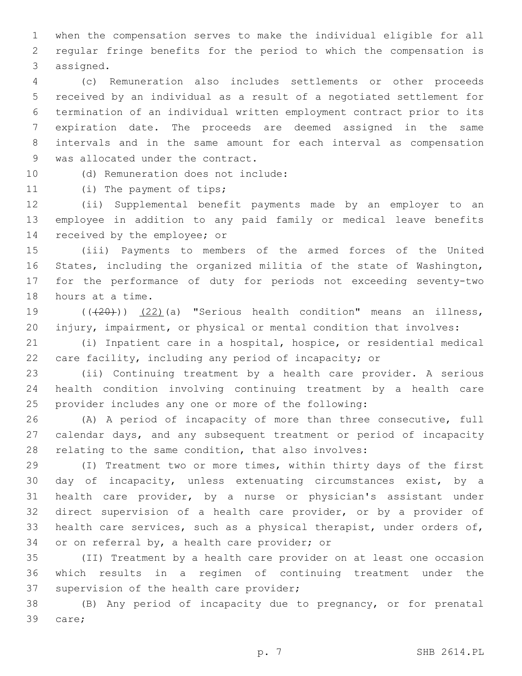when the compensation serves to make the individual eligible for all regular fringe benefits for the period to which the compensation is 3 assigned.

 (c) Remuneration also includes settlements or other proceeds received by an individual as a result of a negotiated settlement for termination of an individual written employment contract prior to its expiration date. The proceeds are deemed assigned in the same intervals and in the same amount for each interval as compensation 9 was allocated under the contract.

10 (d) Remuneration does not include:

11 (i) The payment of tips;

 (ii) Supplemental benefit payments made by an employer to an employee in addition to any paid family or medical leave benefits 14 received by the employee; or

 (iii) Payments to members of the armed forces of the United States, including the organized militia of the state of Washington, for the performance of duty for periods not exceeding seventy-two 18 hours at a time.

19 (((20))) (22)(a) "Serious health condition" means an illness, injury, impairment, or physical or mental condition that involves:

 (i) Inpatient care in a hospital, hospice, or residential medical care facility, including any period of incapacity; or

 (ii) Continuing treatment by a health care provider. A serious health condition involving continuing treatment by a health care provider includes any one or more of the following:

 (A) A period of incapacity of more than three consecutive, full calendar days, and any subsequent treatment or period of incapacity relating to the same condition, that also involves:

 (I) Treatment two or more times, within thirty days of the first day of incapacity, unless extenuating circumstances exist, by a health care provider, by a nurse or physician's assistant under direct supervision of a health care provider, or by a provider of health care services, such as a physical therapist, under orders of, 34 or on referral by, a health care provider; or

 (II) Treatment by a health care provider on at least one occasion which results in a regimen of continuing treatment under the 37 supervision of the health care provider;

 (B) Any period of incapacity due to pregnancy, or for prenatal 39 care;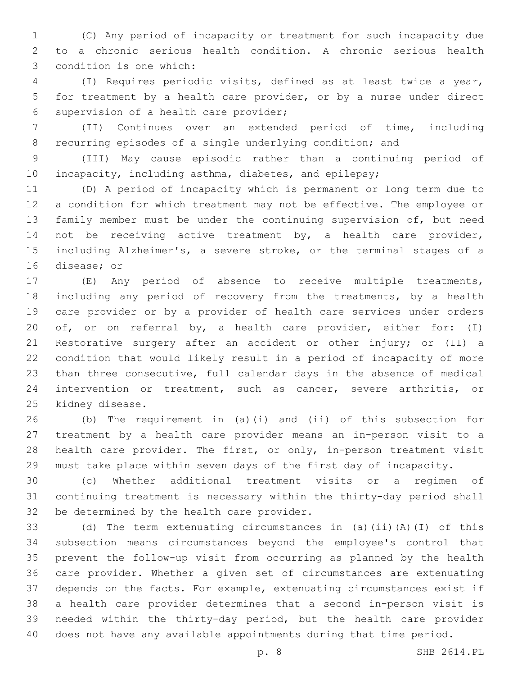(C) Any period of incapacity or treatment for such incapacity due to a chronic serious health condition. A chronic serious health 3 condition is one which:

 (I) Requires periodic visits, defined as at least twice a year, for treatment by a health care provider, or by a nurse under direct 6 supervision of a health care provider;

 (II) Continues over an extended period of time, including recurring episodes of a single underlying condition; and

 (III) May cause episodic rather than a continuing period of 10 incapacity, including asthma, diabetes, and epilepsy;

 (D) A period of incapacity which is permanent or long term due to a condition for which treatment may not be effective. The employee or family member must be under the continuing supervision of, but need not be receiving active treatment by, a health care provider, including Alzheimer's, a severe stroke, or the terminal stages of a 16 disease; or

 (E) Any period of absence to receive multiple treatments, including any period of recovery from the treatments, by a health care provider or by a provider of health care services under orders of, or on referral by, a health care provider, either for: (I) Restorative surgery after an accident or other injury; or (II) a condition that would likely result in a period of incapacity of more than three consecutive, full calendar days in the absence of medical intervention or treatment, such as cancer, severe arthritis, or 25 kidney disease.

 (b) The requirement in (a)(i) and (ii) of this subsection for treatment by a health care provider means an in-person visit to a health care provider. The first, or only, in-person treatment visit must take place within seven days of the first day of incapacity.

 (c) Whether additional treatment visits or a regimen of continuing treatment is necessary within the thirty-day period shall 32 be determined by the health care provider.

 (d) The term extenuating circumstances in (a)(ii)(A)(I) of this subsection means circumstances beyond the employee's control that prevent the follow-up visit from occurring as planned by the health care provider. Whether a given set of circumstances are extenuating depends on the facts. For example, extenuating circumstances exist if a health care provider determines that a second in-person visit is needed within the thirty-day period, but the health care provider does not have any available appointments during that time period.

p. 8 SHB 2614.PL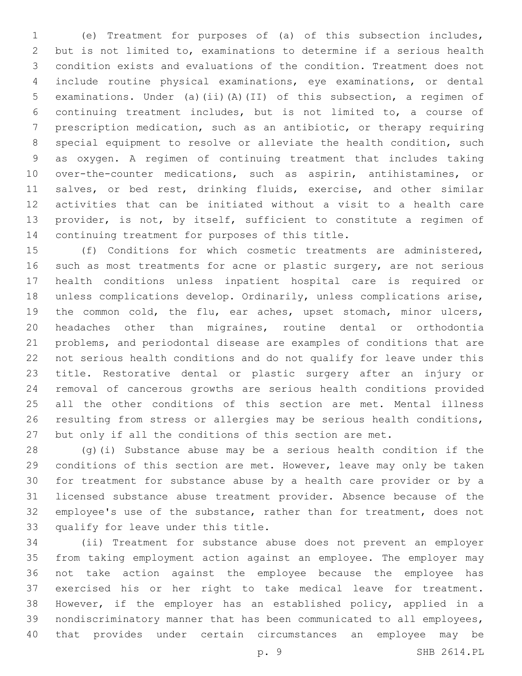(e) Treatment for purposes of (a) of this subsection includes, but is not limited to, examinations to determine if a serious health condition exists and evaluations of the condition. Treatment does not include routine physical examinations, eye examinations, or dental examinations. Under (a)(ii)(A)(II) of this subsection, a regimen of continuing treatment includes, but is not limited to, a course of prescription medication, such as an antibiotic, or therapy requiring special equipment to resolve or alleviate the health condition, such as oxygen. A regimen of continuing treatment that includes taking over-the-counter medications, such as aspirin, antihistamines, or 11 salves, or bed rest, drinking fluids, exercise, and other similar activities that can be initiated without a visit to a health care provider, is not, by itself, sufficient to constitute a regimen of 14 continuing treatment for purposes of this title.

 (f) Conditions for which cosmetic treatments are administered, 16 such as most treatments for acne or plastic surgery, are not serious health conditions unless inpatient hospital care is required or unless complications develop. Ordinarily, unless complications arise, the common cold, the flu, ear aches, upset stomach, minor ulcers, headaches other than migraines, routine dental or orthodontia problems, and periodontal disease are examples of conditions that are not serious health conditions and do not qualify for leave under this title. Restorative dental or plastic surgery after an injury or removal of cancerous growths are serious health conditions provided all the other conditions of this section are met. Mental illness resulting from stress or allergies may be serious health conditions, but only if all the conditions of this section are met.

 (g)(i) Substance abuse may be a serious health condition if the conditions of this section are met. However, leave may only be taken for treatment for substance abuse by a health care provider or by a licensed substance abuse treatment provider. Absence because of the employee's use of the substance, rather than for treatment, does not 33 qualify for leave under this title.

 (ii) Treatment for substance abuse does not prevent an employer from taking employment action against an employee. The employer may not take action against the employee because the employee has exercised his or her right to take medical leave for treatment. However, if the employer has an established policy, applied in a nondiscriminatory manner that has been communicated to all employees, that provides under certain circumstances an employee may be

p. 9 SHB 2614.PL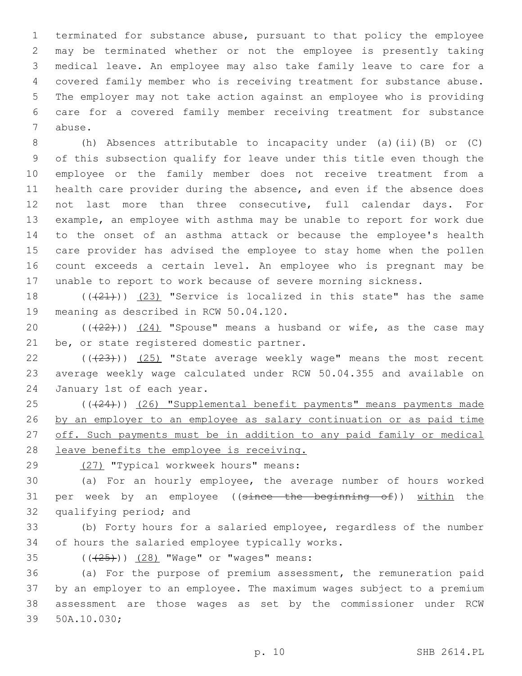terminated for substance abuse, pursuant to that policy the employee may be terminated whether or not the employee is presently taking medical leave. An employee may also take family leave to care for a covered family member who is receiving treatment for substance abuse. The employer may not take action against an employee who is providing care for a covered family member receiving treatment for substance 7 abuse.

 (h) Absences attributable to incapacity under (a)(ii)(B) or (C) of this subsection qualify for leave under this title even though the employee or the family member does not receive treatment from a health care provider during the absence, and even if the absence does not last more than three consecutive, full calendar days. For example, an employee with asthma may be unable to report for work due to the onset of an asthma attack or because the employee's health care provider has advised the employee to stay home when the pollen count exceeds a certain level. An employee who is pregnant may be unable to report to work because of severe morning sickness.

18  $((+21))$   $(23)$  "Service is localized in this state" has the same 19 meaning as described in RCW 50.04.120.

20  $((+22))$   $(24)$  "Spouse" means a husband or wife, as the case may 21 be, or state registered domestic partner.

22 (((23))) (25) "State average weekly wage" means the most recent 23 average weekly wage calculated under RCW 50.04.355 and available on 24 January 1st of each year.

25 (( $(24)$ )) (26) "Supplemental benefit payments" means payments made 26 by an employer to an employee as salary continuation or as paid time 27 off. Such payments must be in addition to any paid family or medical 28 leave benefits the employee is receiving.

(27) "Typical workweek hours" means:29

30 (a) For an hourly employee, the average number of hours worked 31 per week by an employee ((since the beginning of)) within the 32 qualifying period; and

33 (b) Forty hours for a salaried employee, regardless of the number 34 of hours the salaried employee typically works.

35 (( $\left(\frac{28}{125}\right)$ ) (28) "Wage" or "wages" means:

 (a) For the purpose of premium assessment, the remuneration paid by an employer to an employee. The maximum wages subject to a premium assessment are those wages as set by the commissioner under RCW 39 50A.10.030;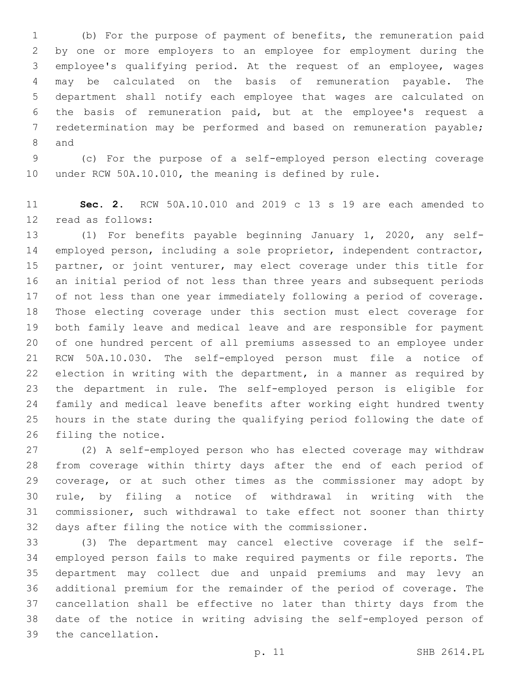(b) For the purpose of payment of benefits, the remuneration paid by one or more employers to an employee for employment during the employee's qualifying period. At the request of an employee, wages may be calculated on the basis of remuneration payable. The department shall notify each employee that wages are calculated on the basis of remuneration paid, but at the employee's request a redetermination may be performed and based on remuneration payable; 8 and

 (c) For the purpose of a self-employed person electing coverage under RCW 50A.10.010, the meaning is defined by rule.

 **Sec. 2.** RCW 50A.10.010 and 2019 c 13 s 19 are each amended to 12 read as follows:

 (1) For benefits payable beginning January 1, 2020, any self- employed person, including a sole proprietor, independent contractor, partner, or joint venturer, may elect coverage under this title for an initial period of not less than three years and subsequent periods of not less than one year immediately following a period of coverage. Those electing coverage under this section must elect coverage for both family leave and medical leave and are responsible for payment of one hundred percent of all premiums assessed to an employee under RCW 50A.10.030. The self-employed person must file a notice of election in writing with the department, in a manner as required by the department in rule. The self-employed person is eligible for family and medical leave benefits after working eight hundred twenty hours in the state during the qualifying period following the date of 26 filing the notice.

 (2) A self-employed person who has elected coverage may withdraw from coverage within thirty days after the end of each period of coverage, or at such other times as the commissioner may adopt by rule, by filing a notice of withdrawal in writing with the commissioner, such withdrawal to take effect not sooner than thirty days after filing the notice with the commissioner.

 (3) The department may cancel elective coverage if the self- employed person fails to make required payments or file reports. The department may collect due and unpaid premiums and may levy an additional premium for the remainder of the period of coverage. The cancellation shall be effective no later than thirty days from the date of the notice in writing advising the self-employed person of 39 the cancellation.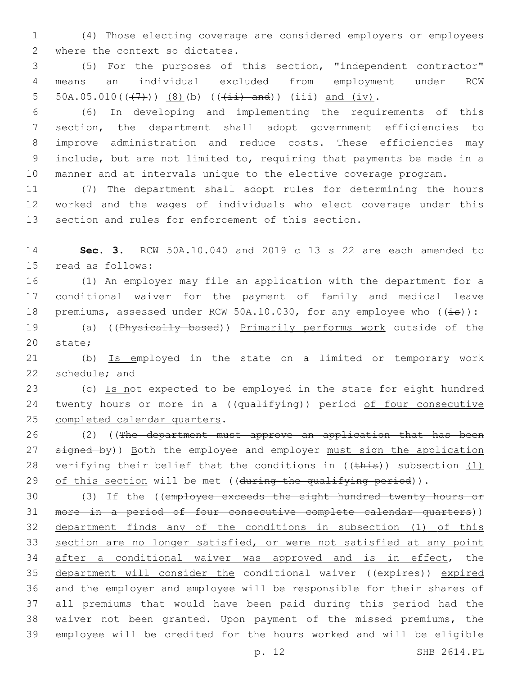(4) Those electing coverage are considered employers or employees 2 where the context so dictates.

 (5) For the purposes of this section, "independent contractor" means an individual excluded from employment under RCW 5 50A.05.010( $(\frac{7}{7})$ ) (8)(b) ( $(\frac{1}{11})$  and)) (iii) and (iv).

 (6) In developing and implementing the requirements of this section, the department shall adopt government efficiencies to improve administration and reduce costs. These efficiencies may include, but are not limited to, requiring that payments be made in a manner and at intervals unique to the elective coverage program.

 (7) The department shall adopt rules for determining the hours worked and the wages of individuals who elect coverage under this section and rules for enforcement of this section.

 **Sec. 3.** RCW 50A.10.040 and 2019 c 13 s 22 are each amended to 15 read as follows:

 (1) An employer may file an application with the department for a conditional waiver for the payment of family and medical leave 18 premiums, assessed under RCW 50A.10.030, for any employee who  $((\pm s))$ :

 (a) ((Physically based)) Primarily performs work outside of the 20 state;

 (b) Is employed in the state on a limited or temporary work 22 schedule; and

23 (c) Is not expected to be employed in the state for eight hundred 24 twenty hours or more in a ((qualifying)) period of four consecutive 25 completed calendar quarters.

 (2) ((The department must approve an application that has been 27 signed by)) Both the employee and employer must sign the application 28 verifying their belief that the conditions in  $((\text{this}))$  subsection  $(1)$ 29 of this section will be met ((during the qualifying period)).

 (3) If the ((employee exceeds the eight hundred twenty hours or more in a period of four consecutive complete calendar quarters)) department finds any of the conditions in subsection (1) of this 33 section are no longer satisfied, or were not satisfied at any point after a conditional waiver was approved and is in effect, the 35 department will consider the conditional waiver ((expires)) expired and the employer and employee will be responsible for their shares of all premiums that would have been paid during this period had the waiver not been granted. Upon payment of the missed premiums, the employee will be credited for the hours worked and will be eligible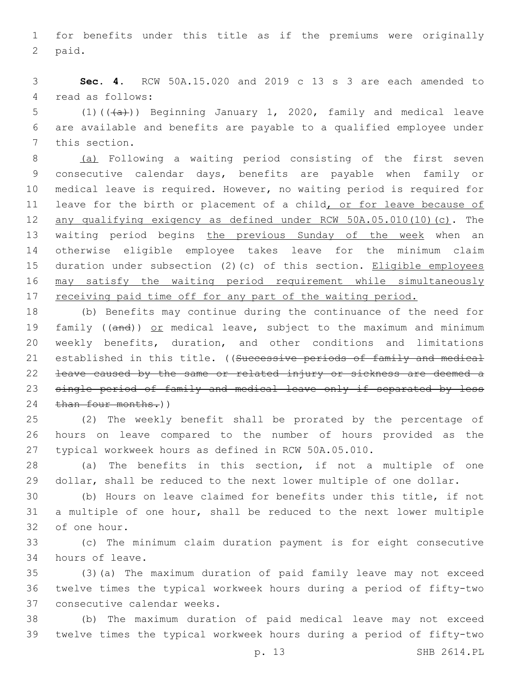for benefits under this title as if the premiums were originally 2 paid.

 **Sec. 4.** RCW 50A.15.020 and 2019 c 13 s 3 are each amended to 4 read as follows:

5 (1)( $(\overline{a})$ ) Beginning January 1, 2020, family and medical leave are available and benefits are payable to a qualified employee under 7 this section.

 (a) Following a waiting period consisting of the first seven consecutive calendar days, benefits are payable when family or medical leave is required. However, no waiting period is required for 11 leave for the birth or placement of a child, or for leave because of any qualifying exigency as defined under RCW 50A.05.010(10)(c). The waiting period begins the previous Sunday of the week when an otherwise eligible employee takes leave for the minimum claim duration under subsection (2)(c) of this section. Eligible employees may satisfy the waiting period requirement while simultaneously 17 receiving paid time off for any part of the waiting period.

 (b) Benefits may continue during the continuance of the need for 19 family ((and)) or medical leave, subject to the maximum and minimum weekly benefits, duration, and other conditions and limitations 21 established in this title. ((Successive periods of family and medical leave caused by the same or related injury or sickness are deemed a 23 single period of family and medical leave only if separated by less 24 than four months.))

 (2) The weekly benefit shall be prorated by the percentage of hours on leave compared to the number of hours provided as the typical workweek hours as defined in RCW 50A.05.010.

 (a) The benefits in this section, if not a multiple of one dollar, shall be reduced to the next lower multiple of one dollar.

 (b) Hours on leave claimed for benefits under this title, if not a multiple of one hour, shall be reduced to the next lower multiple 32 of one hour.

 (c) The minimum claim duration payment is for eight consecutive 34 hours of leave.

 (3)(a) The maximum duration of paid family leave may not exceed twelve times the typical workweek hours during a period of fifty-two 37 consecutive calendar weeks.

 (b) The maximum duration of paid medical leave may not exceed twelve times the typical workweek hours during a period of fifty-two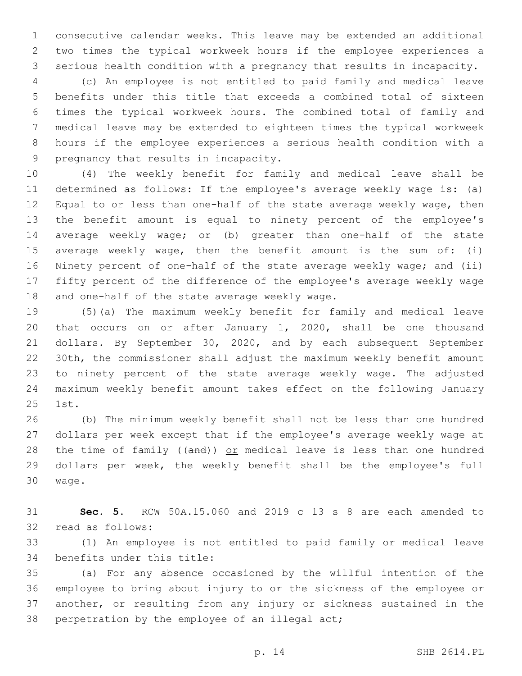consecutive calendar weeks. This leave may be extended an additional two times the typical workweek hours if the employee experiences a serious health condition with a pregnancy that results in incapacity.

 (c) An employee is not entitled to paid family and medical leave benefits under this title that exceeds a combined total of sixteen times the typical workweek hours. The combined total of family and medical leave may be extended to eighteen times the typical workweek hours if the employee experiences a serious health condition with a 9 pregnancy that results in incapacity.

 (4) The weekly benefit for family and medical leave shall be determined as follows: If the employee's average weekly wage is: (a) Equal to or less than one-half of the state average weekly wage, then the benefit amount is equal to ninety percent of the employee's average weekly wage; or (b) greater than one-half of the state average weekly wage, then the benefit amount is the sum of: (i) Ninety percent of one-half of the state average weekly wage; and (ii) fifty percent of the difference of the employee's average weekly wage 18 and one-half of the state average weekly wage.

 (5)(a) The maximum weekly benefit for family and medical leave that occurs on or after January 1, 2020, shall be one thousand dollars. By September 30, 2020, and by each subsequent September 30th, the commissioner shall adjust the maximum weekly benefit amount to ninety percent of the state average weekly wage. The adjusted maximum weekly benefit amount takes effect on the following January 25 1st.

 (b) The minimum weekly benefit shall not be less than one hundred dollars per week except that if the employee's average weekly wage at 28 the time of family ((and)) or medical leave is less than one hundred dollars per week, the weekly benefit shall be the employee's full 30 waqe.

 **Sec. 5.** RCW 50A.15.060 and 2019 c 13 s 8 are each amended to 32 read as follows:

 (1) An employee is not entitled to paid family or medical leave 34 benefits under this title:

 (a) For any absence occasioned by the willful intention of the employee to bring about injury to or the sickness of the employee or another, or resulting from any injury or sickness sustained in the 38 perpetration by the employee of an illegal act;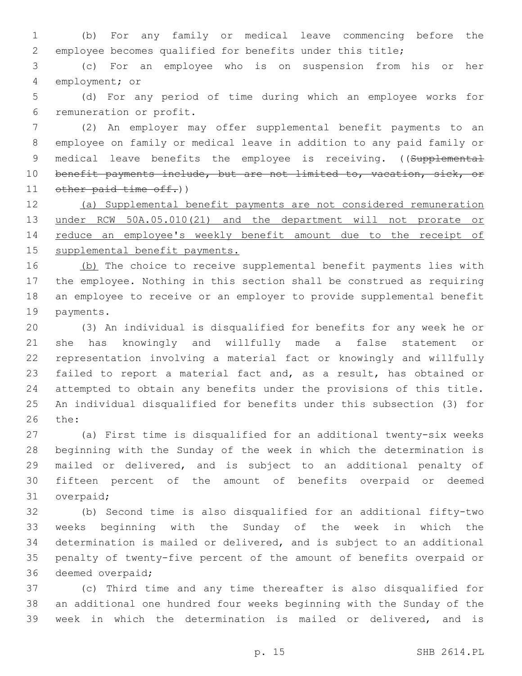(b) For any family or medical leave commencing before the employee becomes qualified for benefits under this title;

 (c) For an employee who is on suspension from his or her 4 employment; or

 (d) For any period of time during which an employee works for 6 remuneration or profit.

 (2) An employer may offer supplemental benefit payments to an employee on family or medical leave in addition to any paid family or 9 medical leave benefits the employee is receiving. ((Supplemental benefit payments include, but are not limited to, vacation, sick, or 11 other paid time off.)

 (a) Supplemental benefit payments are not considered remuneration under RCW 50A.05.010(21) and the department will not prorate or 14 reduce an employee's weekly benefit amount due to the receipt of supplemental benefit payments.

16 (b) The choice to receive supplemental benefit payments lies with the employee. Nothing in this section shall be construed as requiring an employee to receive or an employer to provide supplemental benefit 19 payments.

 (3) An individual is disqualified for benefits for any week he or she has knowingly and willfully made a false statement or representation involving a material fact or knowingly and willfully failed to report a material fact and, as a result, has obtained or attempted to obtain any benefits under the provisions of this title. An individual disqualified for benefits under this subsection (3) for 26 the:

 (a) First time is disqualified for an additional twenty-six weeks beginning with the Sunday of the week in which the determination is mailed or delivered, and is subject to an additional penalty of fifteen percent of the amount of benefits overpaid or deemed 31 overpaid;

 (b) Second time is also disqualified for an additional fifty-two weeks beginning with the Sunday of the week in which the determination is mailed or delivered, and is subject to an additional penalty of twenty-five percent of the amount of benefits overpaid or 36 deemed overpaid;

 (c) Third time and any time thereafter is also disqualified for an additional one hundred four weeks beginning with the Sunday of the week in which the determination is mailed or delivered, and is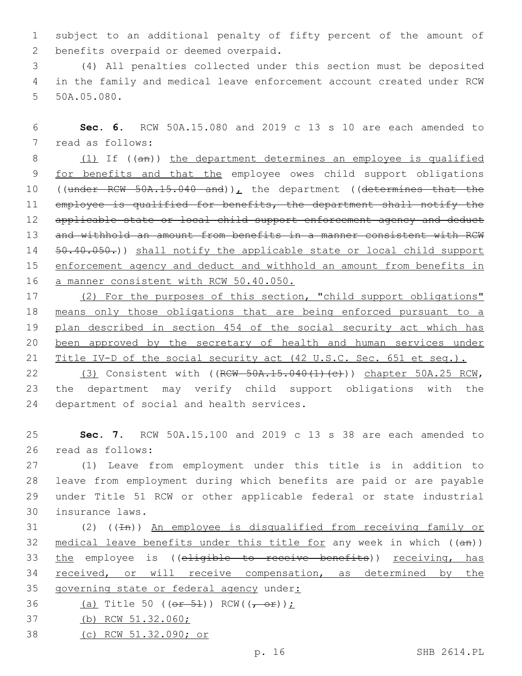1 subject to an additional penalty of fifty percent of the amount of 2 benefits overpaid or deemed overpaid.

3 (4) All penalties collected under this section must be deposited 4 in the family and medical leave enforcement account created under RCW 5 50A.05.080.

6 **Sec. 6.** RCW 50A.15.080 and 2019 c 13 s 10 are each amended to 7 read as follows:

8 (1) If ((an)) the department determines an employee is qualified 9 for benefits and that the employee owes child support obligations 10 ((under RCW 50A.15.040 and)), the department ((determines that the 11 employee is qualified for benefits, the department shall notify the 12 applicable state or local child support enforcement agency and deduct 13 and withhold an amount from benefits in a manner consistent with RCW 14 50.40.050.)) shall notify the applicable state or local child support 15 enforcement agency and deduct and withhold an amount from benefits in 16 a manner consistent with RCW 50.40.050.

17 (2) For the purposes of this section, "child support obligations" 18 means only those obligations that are being enforced pursuant to a 19 plan described in section 454 of the social security act which has 20 been approved by the secretary of health and human services under 21 Title IV-D of the social security act (42 U.S.C. Sec. 651 et seq.).

22 (3) Consistent with ((RCW 50A.15.040(1)(c))) chapter 50A.25 RCW, 23 the department may verify child support obligations with the 24 department of social and health services.

25 **Sec. 7.** RCW 50A.15.100 and 2019 c 13 s 38 are each amended to 26 read as follows:

 (1) Leave from employment under this title is in addition to leave from employment during which benefits are paid or are payable under Title 51 RCW or other applicable federal or state industrial 30 insurance laws.

31 (2) ((In)) An employee is disqualified from receiving family or 32 medical leave benefits under this title for any week in which  $((an))$ 33 the employee is ((eligible to receive benefits)) receiving, has 34 received, or will receive compensation, as determined by the 35 governing state or federal agency under:

- 36 (a) Title 50 (( $\theta$ r 54)) RCW(( $\theta$   $\theta$ r));
- 37 (b) RCW 51.32.060;
- 38 (c) RCW 51.32.090; or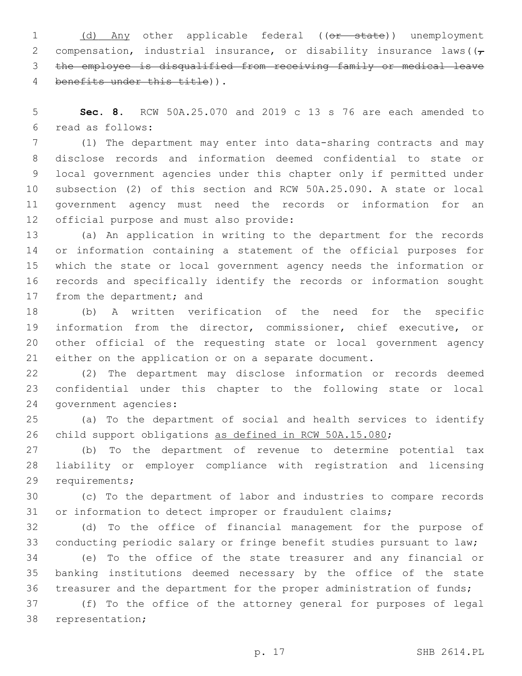1 (d) Any other applicable federal ((or state)) unemployment 2 compensation, industrial insurance, or disability insurance laws ( $(\tau)$  the employee is disqualified from receiving family or medical leave 4 benefits under this title)).

 **Sec. 8.** RCW 50A.25.070 and 2019 c 13 s 76 are each amended to read as follows:6

 (1) The department may enter into data-sharing contracts and may disclose records and information deemed confidential to state or local government agencies under this chapter only if permitted under subsection (2) of this section and RCW 50A.25.090. A state or local government agency must need the records or information for an 12 official purpose and must also provide:

 (a) An application in writing to the department for the records or information containing a statement of the official purposes for which the state or local government agency needs the information or records and specifically identify the records or information sought 17 from the department; and

 (b) A written verification of the need for the specific information from the director, commissioner, chief executive, or other official of the requesting state or local government agency either on the application or on a separate document.

 (2) The department may disclose information or records deemed confidential under this chapter to the following state or local 24 government agencies:

 (a) To the department of social and health services to identify child support obligations as defined in RCW 50A.15.080;

 (b) To the department of revenue to determine potential tax liability or employer compliance with registration and licensing 29 requirements;

 (c) To the department of labor and industries to compare records or information to detect improper or fraudulent claims;

 (d) To the office of financial management for the purpose of conducting periodic salary or fringe benefit studies pursuant to law;

 (e) To the office of the state treasurer and any financial or banking institutions deemed necessary by the office of the state treasurer and the department for the proper administration of funds;

 (f) To the office of the attorney general for purposes of legal 38 representation;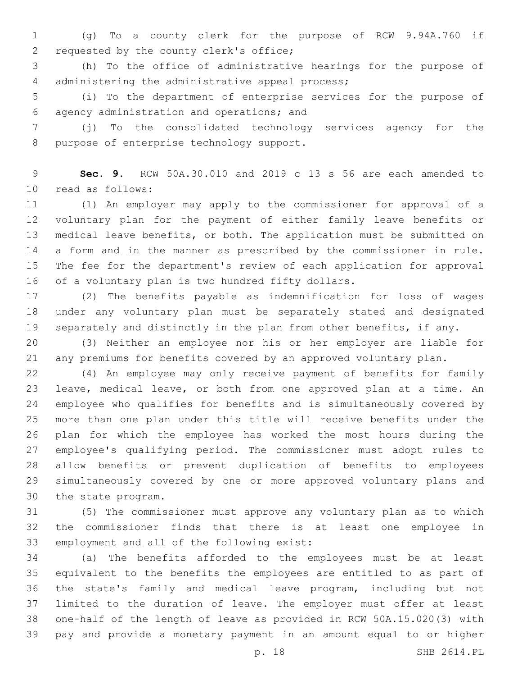(g) To a county clerk for the purpose of RCW 9.94A.760 if 2 requested by the county clerk's office;

 (h) To the office of administrative hearings for the purpose of 4 administering the administrative appeal process;

 (i) To the department of enterprise services for the purpose of agency administration and operations; and6

 (j) To the consolidated technology services agency for the 8 purpose of enterprise technology support.

 **Sec. 9.** RCW 50A.30.010 and 2019 c 13 s 56 are each amended to 10 read as follows:

 (1) An employer may apply to the commissioner for approval of a voluntary plan for the payment of either family leave benefits or medical leave benefits, or both. The application must be submitted on a form and in the manner as prescribed by the commissioner in rule. The fee for the department's review of each application for approval 16 of a voluntary plan is two hundred fifty dollars.

 (2) The benefits payable as indemnification for loss of wages under any voluntary plan must be separately stated and designated separately and distinctly in the plan from other benefits, if any.

 (3) Neither an employee nor his or her employer are liable for any premiums for benefits covered by an approved voluntary plan.

 (4) An employee may only receive payment of benefits for family leave, medical leave, or both from one approved plan at a time. An employee who qualifies for benefits and is simultaneously covered by more than one plan under this title will receive benefits under the plan for which the employee has worked the most hours during the employee's qualifying period. The commissioner must adopt rules to allow benefits or prevent duplication of benefits to employees simultaneously covered by one or more approved voluntary plans and 30 the state program.

 (5) The commissioner must approve any voluntary plan as to which the commissioner finds that there is at least one employee in 33 employment and all of the following exist:

 (a) The benefits afforded to the employees must be at least equivalent to the benefits the employees are entitled to as part of the state's family and medical leave program, including but not limited to the duration of leave. The employer must offer at least one-half of the length of leave as provided in RCW 50A.15.020(3) with pay and provide a monetary payment in an amount equal to or higher

p. 18 SHB 2614.PL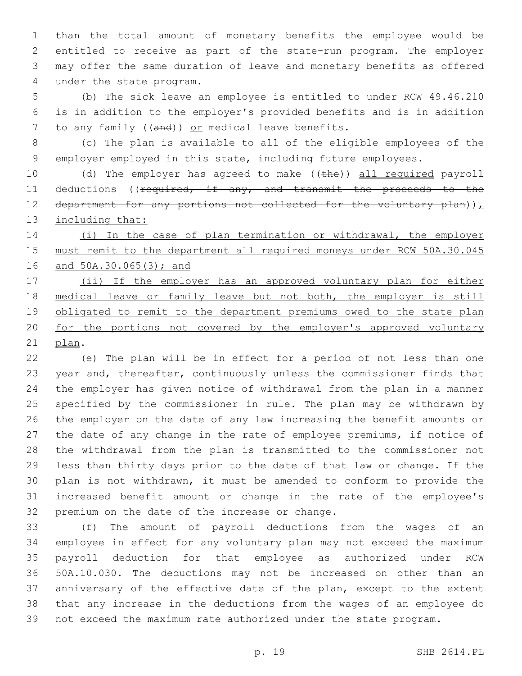than the total amount of monetary benefits the employee would be entitled to receive as part of the state-run program. The employer may offer the same duration of leave and monetary benefits as offered 4 under the state program.

 (b) The sick leave an employee is entitled to under RCW 49.46.210 is in addition to the employer's provided benefits and is in addition 7 to any family ((and)) or medical leave benefits.

 (c) The plan is available to all of the eligible employees of the employer employed in this state, including future employees.

10 (d) The employer has agreed to make ((the)) all required payroll 11 deductions ((required, if any, and transmit the proceeds to the 12 department for any portions not collected for the voluntary plan)) $<sub>L</sub>$ </sub> 13 including that:

 (i) In the case of plan termination or withdrawal, the employer 15 must remit to the department all required moneys under RCW 50A.30.045 and 50A.30.065(3); and

17 (ii) If the employer has an approved voluntary plan for either 18 medical leave or family leave but not both, the employer is still 19 obligated to remit to the department premiums owed to the state plan 20 for the portions not covered by the employer's approved voluntary 21 plan.

 (e) The plan will be in effect for a period of not less than one year and, thereafter, continuously unless the commissioner finds that the employer has given notice of withdrawal from the plan in a manner specified by the commissioner in rule. The plan may be withdrawn by the employer on the date of any law increasing the benefit amounts or the date of any change in the rate of employee premiums, if notice of the withdrawal from the plan is transmitted to the commissioner not less than thirty days prior to the date of that law or change. If the plan is not withdrawn, it must be amended to conform to provide the increased benefit amount or change in the rate of the employee's 32 premium on the date of the increase or change.

 (f) The amount of payroll deductions from the wages of an employee in effect for any voluntary plan may not exceed the maximum payroll deduction for that employee as authorized under RCW 50A.10.030. The deductions may not be increased on other than an anniversary of the effective date of the plan, except to the extent that any increase in the deductions from the wages of an employee do not exceed the maximum rate authorized under the state program.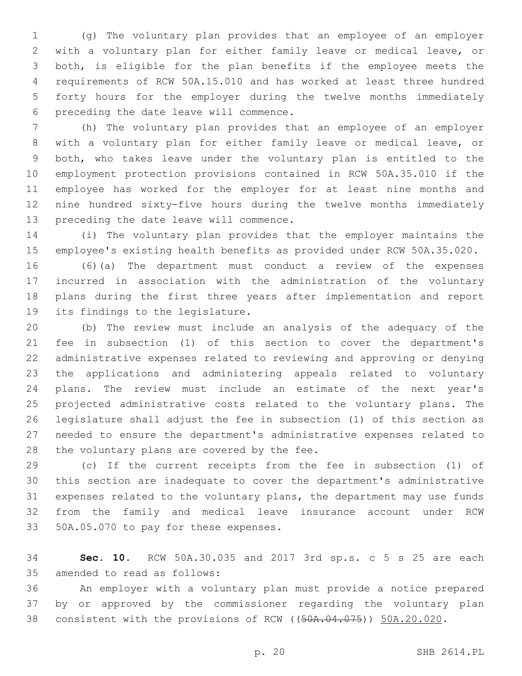(g) The voluntary plan provides that an employee of an employer with a voluntary plan for either family leave or medical leave, or both, is eligible for the plan benefits if the employee meets the requirements of RCW 50A.15.010 and has worked at least three hundred forty hours for the employer during the twelve months immediately 6 preceding the date leave will commence.

 (h) The voluntary plan provides that an employee of an employer with a voluntary plan for either family leave or medical leave, or both, who takes leave under the voluntary plan is entitled to the employment protection provisions contained in RCW 50A.35.010 if the employee has worked for the employer for at least nine months and nine hundred sixty-five hours during the twelve months immediately 13 preceding the date leave will commence.

 (i) The voluntary plan provides that the employer maintains the employee's existing health benefits as provided under RCW 50A.35.020.

 (6)(a) The department must conduct a review of the expenses incurred in association with the administration of the voluntary plans during the first three years after implementation and report 19 its findings to the legislature.

 (b) The review must include an analysis of the adequacy of the fee in subsection (1) of this section to cover the department's administrative expenses related to reviewing and approving or denying the applications and administering appeals related to voluntary plans. The review must include an estimate of the next year's projected administrative costs related to the voluntary plans. The legislature shall adjust the fee in subsection (1) of this section as needed to ensure the department's administrative expenses related to 28 the voluntary plans are covered by the fee.

 (c) If the current receipts from the fee in subsection (1) of this section are inadequate to cover the department's administrative expenses related to the voluntary plans, the department may use funds from the family and medical leave insurance account under RCW 33 50A.05.070 to pay for these expenses.

 **Sec. 10.** RCW 50A.30.035 and 2017 3rd sp.s. c 5 s 25 are each 35 amended to read as follows:

 An employer with a voluntary plan must provide a notice prepared by or approved by the commissioner regarding the voluntary plan 38 consistent with the provisions of RCW ((50A.04.075)) 50A.20.020.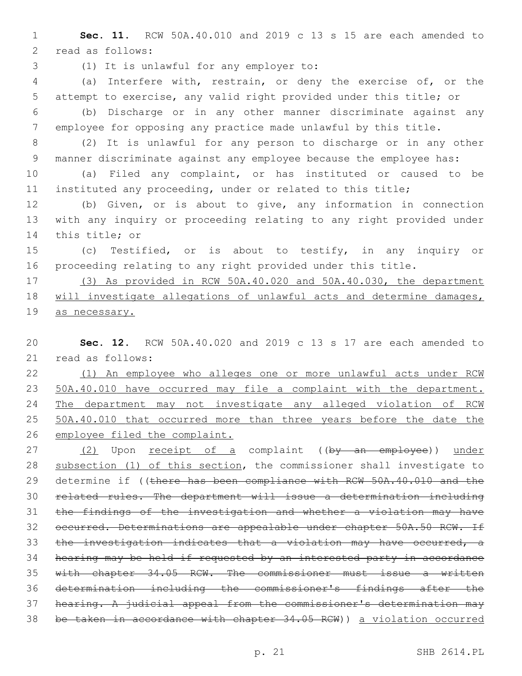**Sec. 11.** RCW 50A.40.010 and 2019 c 13 s 15 are each amended to 2 read as follows:

(1) It is unlawful for any employer to:3

 (a) Interfere with, restrain, or deny the exercise of, or the attempt to exercise, any valid right provided under this title; or

 (b) Discharge or in any other manner discriminate against any employee for opposing any practice made unlawful by this title.

 (2) It is unlawful for any person to discharge or in any other manner discriminate against any employee because the employee has:

 (a) Filed any complaint, or has instituted or caused to be instituted any proceeding, under or related to this title;

 (b) Given, or is about to give, any information in connection with any inquiry or proceeding relating to any right provided under 14 this title; or

 (c) Testified, or is about to testify, in any inquiry or proceeding relating to any right provided under this title.

 (3) As provided in RCW 50A.40.020 and 50A.40.030, the department will investigate allegations of unlawful acts and determine damages, as necessary.

 **Sec. 12.** RCW 50A.40.020 and 2019 c 13 s 17 are each amended to 21 read as follows:

 (1) An employee who alleges one or more unlawful acts under RCW 50A.40.010 have occurred may file a complaint with the department. The department may not investigate any alleged violation of RCW 25 50A.40.010 that occurred more than three years before the date the employee filed the complaint.

27 (2) Upon receipt of a complaint ((by an employee)) under 28 subsection (1) of this section, the commissioner shall investigate to 29 determine if ((there has been compliance with RCW 50A.40.010 and the related rules. The department will issue a determination including the findings of the investigation and whether a violation may have 32 occurred. Determinations are appealable under chapter 50A.50 RCW. If the investigation indicates that a violation may have occurred, a hearing may be held if requested by an interested party in accordance with chapter 34.05 RCW. The commissioner must issue a written determination including the commissioner's findings after the hearing. A judicial appeal from the commissioner's determination may be taken in accordance with chapter 34.05 RCW)) a violation occurred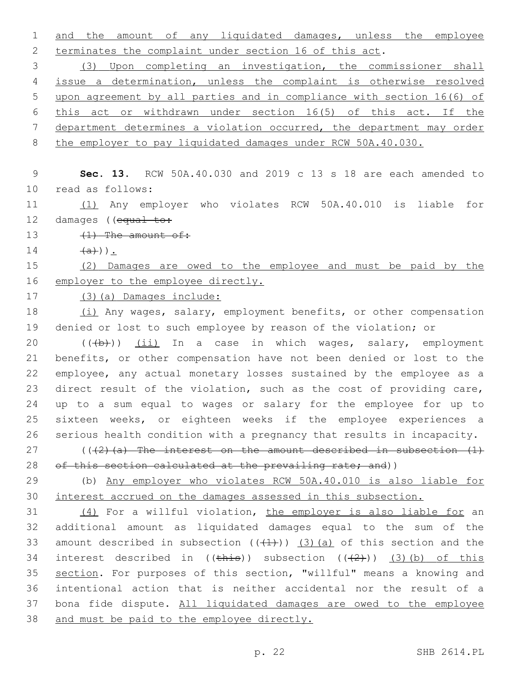and the amount of any liquidated damages, unless the employee terminates the complaint under section 16 of this act.

 (3) Upon completing an investigation, the commissioner shall issue a determination, unless the complaint is otherwise resolved upon agreement by all parties and in compliance with section 16(6) of this act or withdrawn under section 16(5) of this act. If the department determines a violation occurred, the department may order 8 the employer to pay liquidated damages under RCW 50A.40.030.

 **Sec. 13.** RCW 50A.40.030 and 2019 c 13 s 18 are each amended to 10 read as follows:

 (1) Any employer who violates RCW 50A.40.010 is liable for 12 damages ((equal to:

13  $(1)$  The amount of:

 $14 \t\t (a)}).$ 

 (2) Damages are owed to the employee and must be paid by the 16 employer to the employee directly.

(3)(a) Damages include:

18 (i) Any wages, salary, employment benefits, or other compensation denied or lost to such employee by reason of the violation; or

20 (((b))) (ii) In a case in which wages, salary, employment benefits, or other compensation have not been denied or lost to the employee, any actual monetary losses sustained by the employee as a direct result of the violation, such as the cost of providing care, up to a sum equal to wages or salary for the employee for up to sixteen weeks, or eighteen weeks if the employee experiences a serious health condition with a pregnancy that results in incapacity.

27 ( $(42)$  (a) The interest on the amount described in subsection  $(1)$ 28 of this section calculated at the prevailing rate; and))

 (b) Any employer who violates RCW 50A.40.010 is also liable for interest accrued on the damages assessed in this subsection.

31 (4) For a willful violation, the employer is also liable for an additional amount as liquidated damages equal to the sum of the 33 amount described in subsection  $((+1+))$   $(3)$   $(a)$  of this section and the 34 interest described in  $((\pm \hbar i s))$  subsection  $((\pm 2))$  (3)(b) of this section. For purposes of this section, "willful" means a knowing and intentional action that is neither accidental nor the result of a bona fide dispute. All liquidated damages are owed to the employee and must be paid to the employee directly.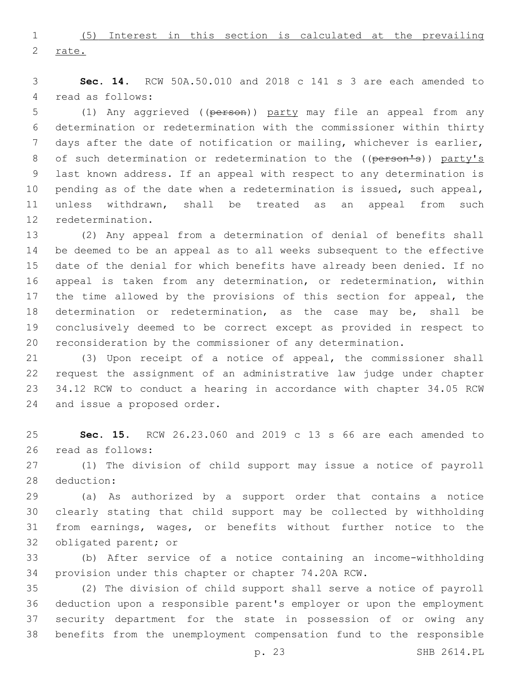(5) Interest in this section is calculated at the prevailing rate.

 **Sec. 14.** RCW 50A.50.010 and 2018 c 141 s 3 are each amended to 4 read as follows:

 (1) Any aggrieved ((person)) party may file an appeal from any determination or redetermination with the commissioner within thirty days after the date of notification or mailing, whichever is earlier, 8 of such determination or redetermination to the ((person's)) party's last known address. If an appeal with respect to any determination is pending as of the date when a redetermination is issued, such appeal, unless withdrawn, shall be treated as an appeal from such 12 redetermination.

 (2) Any appeal from a determination of denial of benefits shall be deemed to be an appeal as to all weeks subsequent to the effective date of the denial for which benefits have already been denied. If no appeal is taken from any determination, or redetermination, within 17 the time allowed by the provisions of this section for appeal, the determination or redetermination, as the case may be, shall be conclusively deemed to be correct except as provided in respect to reconsideration by the commissioner of any determination.

 (3) Upon receipt of a notice of appeal, the commissioner shall request the assignment of an administrative law judge under chapter 34.12 RCW to conduct a hearing in accordance with chapter 34.05 RCW 24 and issue a proposed order.

 **Sec. 15.** RCW 26.23.060 and 2019 c 13 s 66 are each amended to 26 read as follows:

 (1) The division of child support may issue a notice of payroll 28 deduction:

 (a) As authorized by a support order that contains a notice clearly stating that child support may be collected by withholding from earnings, wages, or benefits without further notice to the 32 obligated parent; or

 (b) After service of a notice containing an income-withholding provision under this chapter or chapter 74.20A RCW.

 (2) The division of child support shall serve a notice of payroll deduction upon a responsible parent's employer or upon the employment security department for the state in possession of or owing any benefits from the unemployment compensation fund to the responsible

p. 23 SHB 2614.PL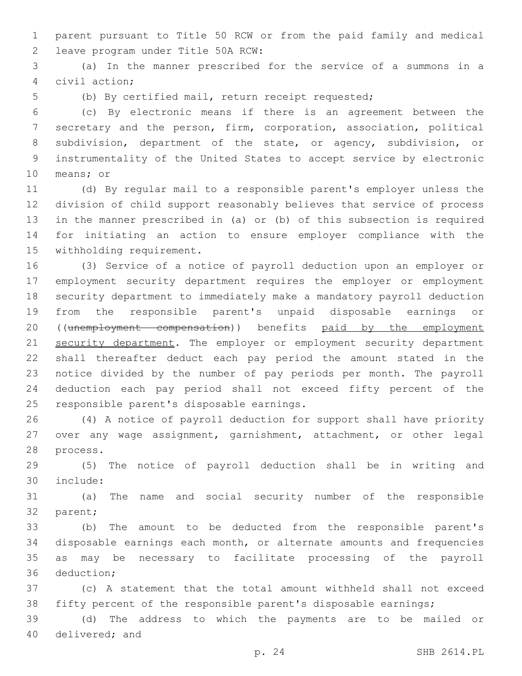parent pursuant to Title 50 RCW or from the paid family and medical leave program under Title 50A RCW:2

 (a) In the manner prescribed for the service of a summons in a 4 civil action:

(b) By certified mail, return receipt requested;

 (c) By electronic means if there is an agreement between the secretary and the person, firm, corporation, association, political subdivision, department of the state, or agency, subdivision, or instrumentality of the United States to accept service by electronic 10 means; or

 (d) By regular mail to a responsible parent's employer unless the division of child support reasonably believes that service of process in the manner prescribed in (a) or (b) of this subsection is required for initiating an action to ensure employer compliance with the 15 withholding requirement.

 (3) Service of a notice of payroll deduction upon an employer or employment security department requires the employer or employment security department to immediately make a mandatory payroll deduction from the responsible parent's unpaid disposable earnings or ((unemployment compensation)) benefits paid by the employment 21 security department. The employer or employment security department shall thereafter deduct each pay period the amount stated in the notice divided by the number of pay periods per month. The payroll deduction each pay period shall not exceed fifty percent of the 25 responsible parent's disposable earnings.

 (4) A notice of payroll deduction for support shall have priority over any wage assignment, garnishment, attachment, or other legal 28 process.

 (5) The notice of payroll deduction shall be in writing and include:30

 (a) The name and social security number of the responsible 32 parent;

 (b) The amount to be deducted from the responsible parent's disposable earnings each month, or alternate amounts and frequencies as may be necessary to facilitate processing of the payroll 36 deduction;

 (c) A statement that the total amount withheld shall not exceed fifty percent of the responsible parent's disposable earnings;

 (d) The address to which the payments are to be mailed or 40 delivered; and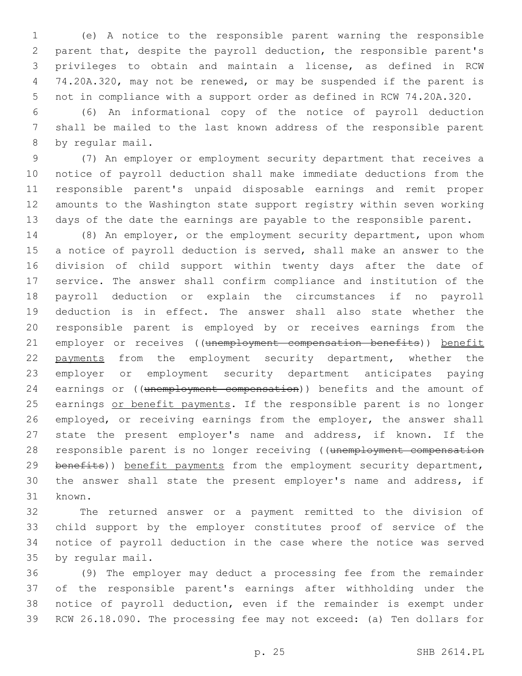(e) A notice to the responsible parent warning the responsible parent that, despite the payroll deduction, the responsible parent's privileges to obtain and maintain a license, as defined in RCW 74.20A.320, may not be renewed, or may be suspended if the parent is not in compliance with a support order as defined in RCW 74.20A.320.

 (6) An informational copy of the notice of payroll deduction shall be mailed to the last known address of the responsible parent 8 by reqular mail.

 (7) An employer or employment security department that receives a notice of payroll deduction shall make immediate deductions from the responsible parent's unpaid disposable earnings and remit proper amounts to the Washington state support registry within seven working days of the date the earnings are payable to the responsible parent.

14 (8) An employer, or the employment security department, upon whom a notice of payroll deduction is served, shall make an answer to the division of child support within twenty days after the date of service. The answer shall confirm compliance and institution of the payroll deduction or explain the circumstances if no payroll deduction is in effect. The answer shall also state whether the responsible parent is employed by or receives earnings from the 21 employer or receives ((unemployment compensation benefits)) benefit 22 payments from the employment security department, whether the employer or employment security department anticipates paying 24 earnings or ((unemployment compensation)) benefits and the amount of 25 earnings or benefit payments. If the responsible parent is no longer employed, or receiving earnings from the employer, the answer shall 27 state the present employer's name and address, if known. If the 28 responsible parent is no longer receiving ((unemployment compensation 29 benefits)) benefit payments from the employment security department, the answer shall state the present employer's name and address, if 31 known.

 The returned answer or a payment remitted to the division of child support by the employer constitutes proof of service of the notice of payroll deduction in the case where the notice was served 35 by regular mail.

 (9) The employer may deduct a processing fee from the remainder of the responsible parent's earnings after withholding under the notice of payroll deduction, even if the remainder is exempt under RCW 26.18.090. The processing fee may not exceed: (a) Ten dollars for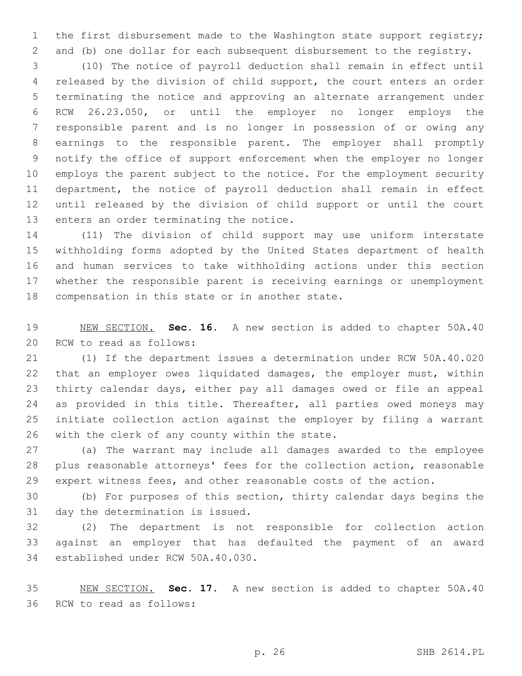the first disbursement made to the Washington state support registry; and (b) one dollar for each subsequent disbursement to the registry.

 (10) The notice of payroll deduction shall remain in effect until released by the division of child support, the court enters an order terminating the notice and approving an alternate arrangement under RCW 26.23.050, or until the employer no longer employs the responsible parent and is no longer in possession of or owing any earnings to the responsible parent. The employer shall promptly notify the office of support enforcement when the employer no longer employs the parent subject to the notice. For the employment security department, the notice of payroll deduction shall remain in effect until released by the division of child support or until the court 13 enters an order terminating the notice.

 (11) The division of child support may use uniform interstate withholding forms adopted by the United States department of health and human services to take withholding actions under this section whether the responsible parent is receiving earnings or unemployment 18 compensation in this state or in another state.

 NEW SECTION. **Sec. 16.** A new section is added to chapter 50A.40 20 RCW to read as follows:

 (1) If the department issues a determination under RCW 50A.40.020 that an employer owes liquidated damages, the employer must, within thirty calendar days, either pay all damages owed or file an appeal 24 as provided in this title. Thereafter, all parties owed moneys may initiate collection action against the employer by filing a warrant 26 with the clerk of any county within the state.

 (a) The warrant may include all damages awarded to the employee plus reasonable attorneys' fees for the collection action, reasonable expert witness fees, and other reasonable costs of the action.

 (b) For purposes of this section, thirty calendar days begins the 31 day the determination is issued.

 (2) The department is not responsible for collection action against an employer that has defaulted the payment of an award 34 established under RCW 50A.40.030.

 NEW SECTION. **Sec. 17.** A new section is added to chapter 50A.40 36 RCW to read as follows: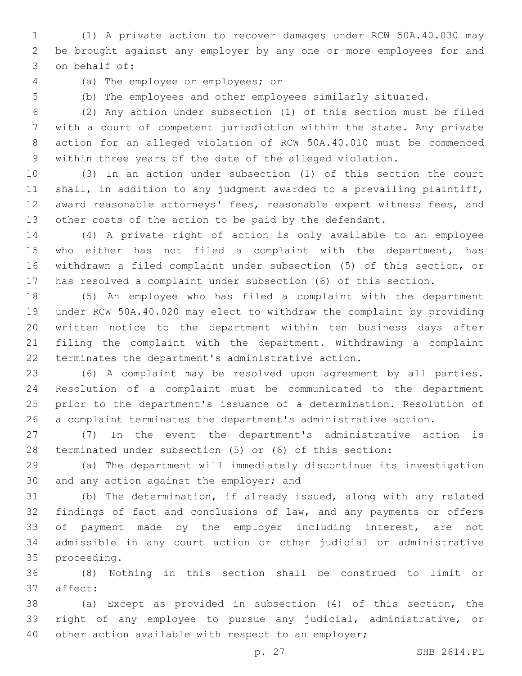(1) A private action to recover damages under RCW 50A.40.030 may be brought against any employer by any one or more employees for and 3 on behalf of:

(a) The employee or employees; or4

 (b) The employees and other employees similarly situated. (2) Any action under subsection (1) of this section must be filed with a court of competent jurisdiction within the state. Any private

 action for an alleged violation of RCW 50A.40.010 must be commenced within three years of the date of the alleged violation.

 (3) In an action under subsection (1) of this section the court shall, in addition to any judgment awarded to a prevailing plaintiff, award reasonable attorneys' fees, reasonable expert witness fees, and other costs of the action to be paid by the defendant.

 (4) A private right of action is only available to an employee who either has not filed a complaint with the department, has withdrawn a filed complaint under subsection (5) of this section, or has resolved a complaint under subsection (6) of this section.

 (5) An employee who has filed a complaint with the department under RCW 50A.40.020 may elect to withdraw the complaint by providing written notice to the department within ten business days after filing the complaint with the department. Withdrawing a complaint terminates the department's administrative action.

 (6) A complaint may be resolved upon agreement by all parties. Resolution of a complaint must be communicated to the department prior to the department's issuance of a determination. Resolution of a complaint terminates the department's administrative action.

 (7) In the event the department's administrative action is terminated under subsection (5) or (6) of this section:

 (a) The department will immediately discontinue its investigation 30 and any action against the employer; and

 (b) The determination, if already issued, along with any related findings of fact and conclusions of law, and any payments or offers 33 of payment made by the employer including interest, are not admissible in any court action or other judicial or administrative 35 proceeding.

 (8) Nothing in this section shall be construed to limit or 37 affect:

 (a) Except as provided in subsection (4) of this section, the right of any employee to pursue any judicial, administrative, or other action available with respect to an employer;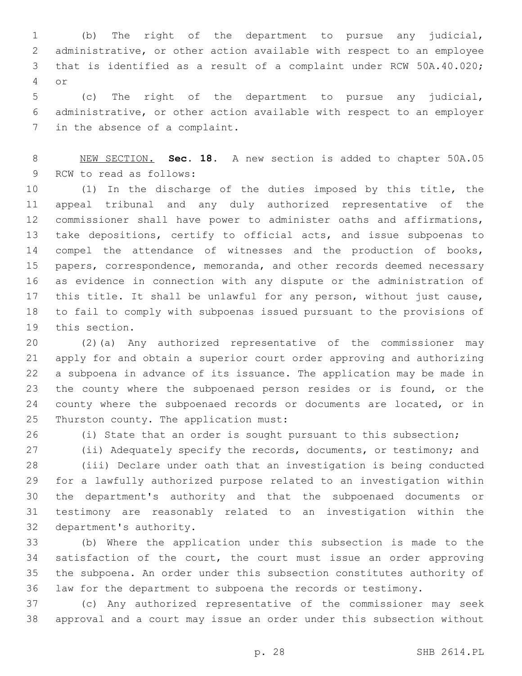(b) The right of the department to pursue any judicial, administrative, or other action available with respect to an employee that is identified as a result of a complaint under RCW 50A.40.020; or4

 (c) The right of the department to pursue any judicial, administrative, or other action available with respect to an employer 7 in the absence of a complaint.

 NEW SECTION. **Sec. 18.** A new section is added to chapter 50A.05 9 RCW to read as follows:

 (1) In the discharge of the duties imposed by this title, the appeal tribunal and any duly authorized representative of the commissioner shall have power to administer oaths and affirmations, take depositions, certify to official acts, and issue subpoenas to 14 compel the attendance of witnesses and the production of books, 15 papers, correspondence, memoranda, and other records deemed necessary as evidence in connection with any dispute or the administration of 17 this title. It shall be unlawful for any person, without just cause, to fail to comply with subpoenas issued pursuant to the provisions of 19 this section.

 (2)(a) Any authorized representative of the commissioner may apply for and obtain a superior court order approving and authorizing a subpoena in advance of its issuance. The application may be made in the county where the subpoenaed person resides or is found, or the 24 county where the subpoenaed records or documents are located, or in 25 Thurston county. The application must:

(i) State that an order is sought pursuant to this subsection;

(ii) Adequately specify the records, documents, or testimony; and

 (iii) Declare under oath that an investigation is being conducted for a lawfully authorized purpose related to an investigation within the department's authority and that the subpoenaed documents or testimony are reasonably related to an investigation within the 32 department's authority.

 (b) Where the application under this subsection is made to the 34 satisfaction of the court, the court must issue an order approving the subpoena. An order under this subsection constitutes authority of law for the department to subpoena the records or testimony.

 (c) Any authorized representative of the commissioner may seek approval and a court may issue an order under this subsection without